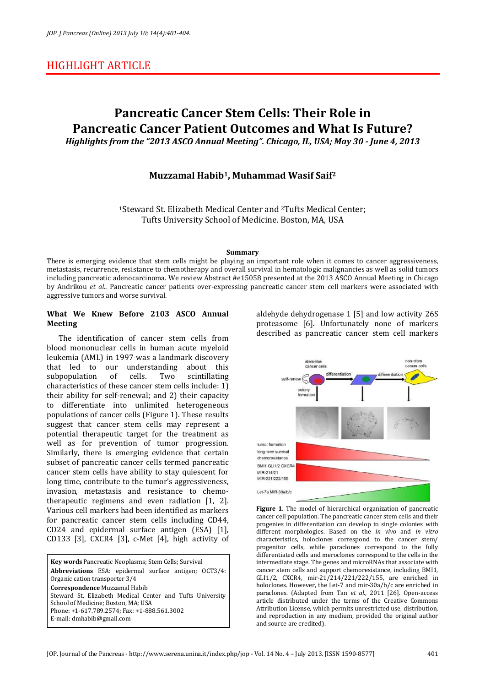## HIGHLIGHT ARTICLE

# **Pancreatic Cancer Stem Cells: Their Role in Pancreatic Cancer Patient Outcomes and What Is Future?**  *Highlights from the "2013 ASCO Annual Meeting". Chicago, IL, USA; May 30 - June 4, 2013*

## **Muzzamal Habib1, Muhammad Wasif Saif<sup>2</sup>**

<sup>1</sup>Steward St. Elizabeth Medical Center and 2Tufts Medical Center; Tufts University School of Medicine. Boston, MA, USA

#### **Summary**

There is emerging evidence that stem cells might be playing an important role when it comes to cancer aggressiveness, metastasis, recurrence, resistance to chemotherapy and overall survival in hematologic malignancies as well as solid tumors including pancreatic adenocarcinoma. We review Abstract #e15058 presented at the 2013 ASCO Annual Meeting in Chicago by Andrikou *et al*.. Pancreatic cancer patients over-expressing pancreatic cancer stem cell markers were associated with aggressive tumors and worse survival.

### **What We Knew Before 2103 ASCO Annual Meeting**

The identification of cancer stem cells from blood mononuclear cells in human acute myeloid leukemia (AML) in 1997 was a landmark discovery that led to our understanding about this subpopulation of cells. Two scintillating characteristics of these cancer stem cells include: 1) their ability for self-renewal; and 2) their capacity to differentiate into unlimited heterogeneous populations of cancer cells (Figure 1). These results suggest that cancer stem cells may represent a potential therapeutic target for the treatment as well as for prevention of tumor progression. Similarly, there is emerging evidence that certain subset of pancreatic cancer cells termed pancreatic cancer stem cells have ability to stay quiescent for long time, contribute to the tumor's aggressiveness, invasion, metastasis and resistance to chemotherapeutic regimens and even radiation [1, 2]. Various cell markers had been identified as markers for pancreatic cancer stem cells including CD44, CD24 and epidermal surface antigen (ESA) [1], CD133 [3], CXCR4 [3], c-Met [4], high activity of

**Key words** Pancreatic Neoplasms; Stem Cells; Survival **Abbreviations** ESA: epidermal surface antigen; OCT3/4: Organic cation transporter 3/4 **Correspondence** Muzzamal Habib Steward St. Elizabeth Medical Center and Tufts University School of Medicine; Boston, MA; USA Phone: +1-617.789.2574; Fax: +1-888.561.3002 E-mail: dmhabib@gmail.com

aldehyde dehydrogenase 1 [5] and low activity 26S proteasome [6]. Unfortunately none of markers described as pancreatic cancer stem cell markers



**Figure 1.** The model of hierarchical organization of pancreatic cancer cell population. The pancreatic cancer stem cells and their progenies in differentiation can develop to single colonies with different morphologies. Based on the *in vivo* and *in vitro* characteristics, holoclones correspond to the cancer stem/ progenitor cells, while paraclones correspond to the fully differentiated cells and meroclones correspond to the cells in the intermediate stage. The genes and microRNAs that associate with cancer stem cells and support chemoresistance, including BMI1, GLI1/2, CXCR4, mir-21/214/221/222/155, are enriched in holoclones. However, the Let-7 and mir-30a/b/c are enriched in paraclones. (Adapted from Tan *et al*., 2011 [26]. Open-access article distributed under the terms of the Creative Commons Attribution License, which permits unrestricted use, distribution, and reproduction in any medium, provided the original author and source are credited).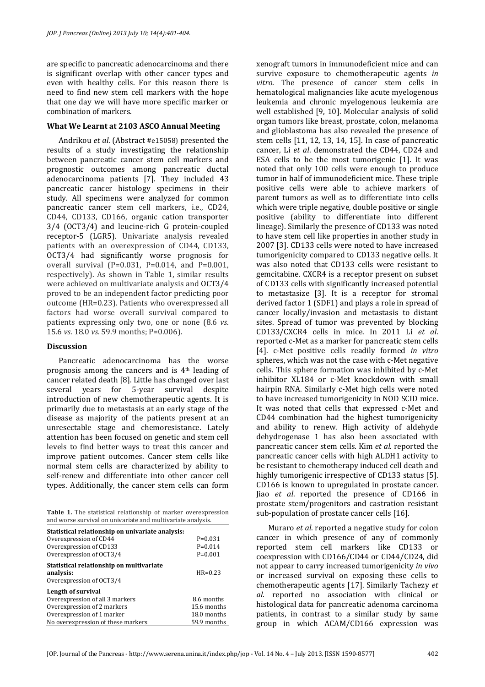are specific to pancreatic adenocarcinoma and there is significant overlap with other cancer types and even with healthy cells. For this reason there is need to find new stem cell markers with the hope that one day we will have more specific marker or combination of markers.

### **What We Learnt at 2103 ASCO Annual Meeting**

Andrikou *et al*. (Abstract #e15058) presented the results of a study investigating the relationship between pancreatic cancer stem cell markers and prognostic outcomes among pancreatic ductal adenocarcinoma patients [7]. They included 43 pancreatic cancer histology specimens in their study. All specimens were analyzed for common pancreatic cancer stem cell markers, i.e., CD24, CD44, CD133, CD166, organic cation transporter 3/4 (OCT3/4) and leucine-rich G protein-coupled receptor-5 (LGR5). Univariate analysis revealed patients with an overexpression of CD44, CD133, OCT3/4 had significantly worse prognosis for overall survival (P=0.031, P=0.014, and P=0.001, respectively). As shown in Table 1, similar results were achieved on multivariate analysis and OCT3/4 proved to be an independent factor predicting poor outcome (HR=0.23). Patients who overexpressed all factors had worse overall survival compared to patients expressing only two, one or none (8.6 *vs*. 15.6 *vs*. 18.0 *vs*. 59.9 months; P=0.006).

### **Discussion**

Pancreatic adenocarcinoma has the worse prognosis among the cancers and is 4th leading of cancer related death [8]. Little has changed over last several years for 5-year survival despite introduction of new chemotherapeutic agents. It is primarily due to metastasis at an early stage of the disease as majority of the patients present at an unresectable stage and chemoresistance. Lately attention has been focused on genetic and stem cell levels to find better ways to treat this cancer and improve patient outcomes. Cancer stem cells like normal stem cells are characterized by ability to self-renew and differentiate into other cancer cell types. Additionally, the cancer stem cells can form

|  |  |                                                             | Table 1. The statistical relationship of marker overexpression |
|--|--|-------------------------------------------------------------|----------------------------------------------------------------|
|  |  | and worse survival on univariate and multivariate analysis. |                                                                |

| Statistical relationship on univariate analysis: |             |
|--------------------------------------------------|-------------|
| Overexpression of CD44                           | $P=0.031$   |
| Overexpression of CD133                          | $P=0.014$   |
| Overexpression of OCT3/4                         | $P=0.001$   |
| Statistical relationship on multivariate         |             |
| analysis:                                        | $HR = 0.23$ |
| Overexpression of OCT3/4                         |             |
| Length of survival                               |             |
| Overexpression of all 3 markers                  | 8.6 months  |
| Overexpression of 2 markers                      | 15.6 months |
| Overexpression of 1 marker                       | 18.0 months |
| No overexpression of these markers               | 59.9 months |
|                                                  |             |

xenograft tumors in immunodeficient mice and can survive exposure to chemotherapeutic agents *in vitro*. The presence of cancer stem cells in hematological malignancies like acute myelogenous leukemia and chronic myelogenous leukemia are well established [9, 10]. Molecular analysis of solid organ tumors like breast, prostate, colon, melanoma and glioblastoma has also revealed the presence of stem cells [11, 12, 13, 14, 15]. In case of pancreatic cancer, Li *et al*. demonstrated the CD44, CD24 and ESA cells to be the most tumorigenic [1]. It was noted that only 100 cells were enough to produce tumor in half of immunodeficient mice. These triple positive cells were able to achieve markers of parent tumors as well as to differentiate into cells which were triple negative, double positive or single positive (ability to differentiate into different lineage). Similarly the presence of CD133 was noted to have stem cell like properties in another study in 2007 [3]. CD133 cells were noted to have increased tumorigenicity compared to CD133 negative cells. It was also noted that CD133 cells were resistant to gemcitabine. CXCR4 is a receptor present on subset of CD133 cells with significantly increased potential to metastasize [3]. It is a receptor for stromal derived factor 1 (SDF1) and plays a role in spread of cancer locally/invasion and metastasis to distant sites. Spread of tumor was prevented by blocking CD133/CXCR4 cells in mice. In 2011 Li *et al*. reported c-Met as a marker for pancreatic stem cells [4]. c-Met positive cells readily formed *in vitro* spheres, which was not the case with c-Met negative cells. This sphere formation was inhibited by c-Met inhibitor XL184 or c-Met knockdown with small hairpin RNA. Similarly c-Met high cells were noted to have increased tumorigenicity in NOD SCID mice. It was noted that cells that expressed c-Met and CD44 combination had the highest tumorigenicity and ability to renew. High activity of aldehyde dehydrogenase 1 has also been associated with pancreatic cancer stem cells. Kim *et al*. reported the pancreatic cancer cells with high ALDH1 activity to be resistant to chemotherapy induced cell death and highly tumorigenic irrespective of CD133 status [5]. CD166 is known to upregulated in prostate cancer. Jiao *et al*. reported the presence of CD166 in prostate stem/progenitors and castration resistant sub-population of prostate cancer cells [16].

Muraro *et al*. reported a negative study for colon cancer in which presence of any of commonly reported stem cell markers like CD133 or coexpression with CD166/CD44 or CD44/CD24, did not appear to carry increased tumorigenicity *in vivo* or increased survival on exposing these cells to chemotherapeutic agents [17]. Similarly Tachezy *et al*. reported no association with clinical or histological data for pancreatic adenoma carcinoma patients, in contrast to a similar study by same group in which ACAM/CD166 expression was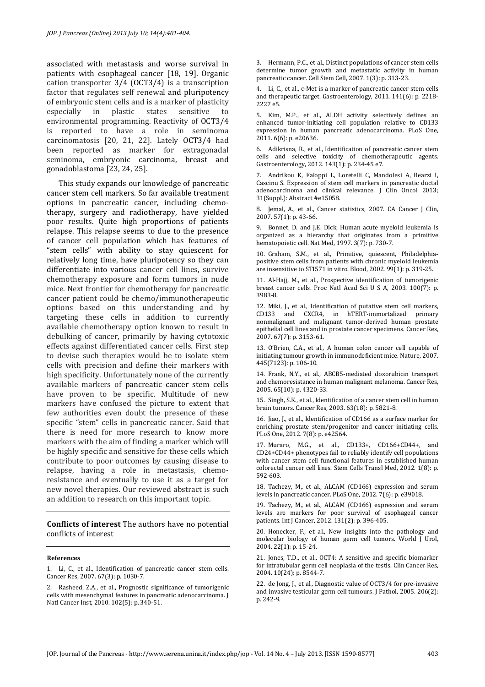associated with metastasis and worse survival in patients with esophageal cancer [18, 19]. Organic cation transporter 3/4 (OCT3/4) is a transcription factor that regulates self renewal and pluripotency of embryonic stem cells and is a marker of plasticity especially in plastic states sensitive environmental programming. Reactivity of OCT3/4 is reported to have a role in seminoma carcinomatosis [20, 21, 22]. Lately OCT3/4 had been reported as marker for extragonadal seminoma, embryonic carcinoma, breast and gonadoblastoma [23, 24, 25].

This study expands our knowledge of pancreatic cancer stem cell markers. So far available treatment options in pancreatic cancer, including chemotherapy, surgery and radiotherapy, have yielded poor results. Quite high proportions of patients relapse. This relapse seems to due to the presence of cancer cell population which has features of "stem cells" with ability to stay quiescent for relatively long time, have pluripotency so they can differentiate into various cancer cell lines, survive chemotherapy exposure and form tumors in nude mice. Next frontier for chemotherapy for pancreatic cancer patient could be chemo/immunotherapeutic options based on this understanding and by targeting these cells in addition to currently available chemotherapy option known to result in debulking of cancer, primarily by having cytotoxic effects against differentiated cancer cells. First step to devise such therapies would be to isolate stem cells with precision and define their markers with high specificity. Unfortunately none of the currently available markers of pancreatic cancer stem cells have proven to be specific. Multitude of new markers have confused the picture to extent that few authorities even doubt the presence of these specific "stem" cells in pancreatic cancer. Said that there is need for more research to know more markers with the aim of finding a marker which will be highly specific and sensitive for these cells which contribute to poor outcomes by causing disease to relapse, having a role in metastasis, chemoresistance and eventually to use it as a target for new novel therapies. Our reviewed abstract is such an addition to research on this important topic.

**Conflicts of interest** The authors have no potential conflicts of interest

#### **References**

1. Li, C., et al., Identification of pancreatic cancer stem cells. Cancer Res, 2007. 67(3): p. 1030-7.

2. Rasheed, Z.A., et al., Prognostic significance of tumorigenic cells with mesenchymal features in pancreatic adenocarcinoma. J Natl Cancer Inst, 2010. 102(5): p. 340-51.

3. Hermann, P.C., et al., Distinct populations of cancer stem cells determine tumor growth and metastatic activity in human pancreatic cancer. Cell Stem Cell, 2007. 1(3): p. 313-23.

4. Li, C., et al., c-Met is a marker of pancreatic cancer stem cells and therapeutic target. Gastroenterology, 2011. 141(6): p. 2218- 2227 e5.

5. Kim, M.P., et al., ALDH activity selectively defines an enhanced tumor-initiating cell population relative to CD133 expression in human pancreatic adenocarcinoma. PLoS One, 2011. 6(6): p. e20636.

6. Adikrisna, R., et al., Identification of pancreatic cancer stem cells and selective toxicity of chemotherapeutic agents. Gastroenterology, 2012. 143(1): p. 234-45 e7.

7. Andrikou K, Faloppi L, Loretelli C, Mandolesi A, Bearzi I, Cascinu S. Expression of stem cell markers in pancreatic ductal adenocarcinoma and clinical relevance. J Clin Oncol 2013; 31(Suppl.): Abstract #e15058.

8. Jemal, A., et al., Cancer statistics, 2007. CA Cancer J Clin, 2007. 57(1): p. 43-66.

9. Bonnet, D. and J.E. Dick, Human acute myeloid leukemia is organized as a hierarchy that originates from a primitive hematopoietic cell. Nat Med, 1997. 3(7): p. 730-7.

10. Graham, S.M., et al., Primitive, quiescent, Philadelphiapositive stem cells from patients with chronic myeloid leukemia are insensitive to STI571 in vitro. Blood, 2002. 99(1): p. 319-25.

11. Al-Hajj, M., et al., Prospective identification of tumorigenic breast cancer cells. Proc Natl Acad Sci U S A, 2003. 100(7): p. 3983-8.

12. Miki, J., et al., Identification of putative stem cell markers, CD133 and CXCR4, in hTERT-immortalized primary nonmalignant and malignant tumor-derived human prostate epithelial cell lines and in prostate cancer specimens. Cancer Res, 2007. 67(7): p. 3153-61.

13. O'Brien, C.A., et al., A human colon cancer cell capable of initiating tumour growth in immunodeficient mice. Nature, 2007. 445(7123): p. 106-10.

14. Frank, N.Y., et al., ABCB5-mediated doxorubicin transport and chemoresistance in human malignant melanoma. Cancer Res, 2005. 65(10): p. 4320-33.

15. Singh, S.K., et al., Identification of a cancer stem cell in human brain tumors. Cancer Res, 2003. 63(18): p. 5821-8.

16. Jiao, J., et al., Identification of CD166 as a surface marker for enriching prostate stem/progenitor and cancer initiating cells. PLoS One, 2012. 7(8): p. e42564.

17. Muraro, M.G., et al., CD133+, CD166+CD44+, and CD24+CD44+ phenotypes fail to reliably identify cell populations with cancer stem cell functional features in established human colorectal cancer cell lines. Stem Cells Transl Med, 2012. 1(8): p. 592-603.

18. Tachezy, M., et al., ALCAM (CD166) expression and serum levels in pancreatic cancer. PLoS One, 2012. 7(6): p. e39018.

19. Tachezy, M., et al., ALCAM (CD166) expression and serum levels are markers for poor survival of esophageal cancer patients. Int J Cancer, 2012. 131(2): p. 396-405.

20. Honecker, F., et al., New insights into the pathology and molecular biology of human germ cell tumors. World J Urol, 2004. 22(1): p. 15-24.

21. Jones, T.D., et al., OCT4: A sensitive and specific biomarker for intratubular germ cell neoplasia of the testis. Clin Cancer Res, 2004. 10(24): p. 8544-7.

22. de Jong, J., et al., Diagnostic value of OCT3/4 for pre-invasive and invasive testicular germ cell tumours. J Pathol, 2005. 206(2): p. 242-9.